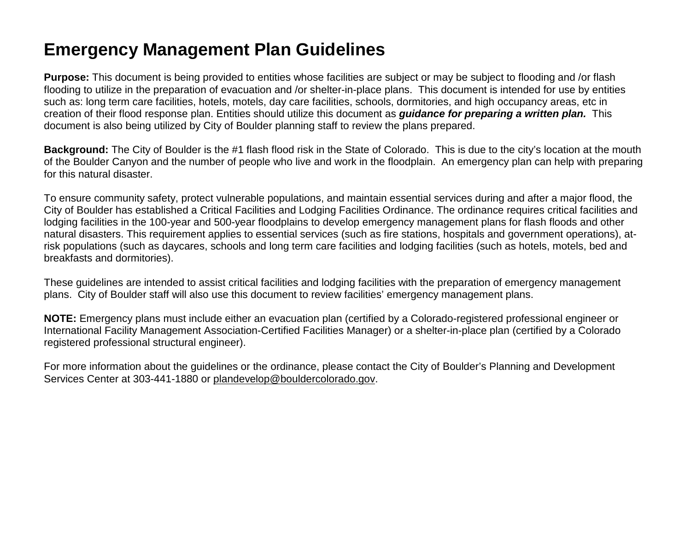## **Emergency Management Plan Guidelines**

Purpose: This document is being provided to entities whose facilities are subject or may be subject to flooding and /or flash flooding to utilize in the preparation of evacuation and /or shelter-in-place plans. This document is intended for use by entities such as: long term care facilities, hotels, motels, day care facilities, schools, dormitories, and high occupancy areas, etc in creation of their flood response plan. Entities should utilize this document as *guidance for preparing a written plan.* This document is also being utilized by City of Boulder planning staff to review the plans prepared.

**Background:** The City of Boulder is the #1 flash flood risk in the State of Colorado. This is due to the city's location at the mouth of the Boulder Canyon and the number of people who live and work in the floodplain. An emergency plan can help with preparing for this natural disaster.

To ensure community safety, protect vulnerable populations, and maintain essential services during and after a major flood, the City of Boulder has established a Critical Facilities and Lodging Facilities Ordinance. The ordinance requires critical facilities and lodging facilities in the 100-year and 500-year floodplains to develop emergency management plans for flash floods and other natural disasters. This requirement applies to essential services (such as fire stations, hospitals and government operations), atrisk populations (such as daycares, schools and long term care facilities and lodging facilities (such as hotels, motels, bed and breakfasts and dormitories).

These guidelines are intended to assist critical facilities and lodging facilities with the preparation of emergency management plans. City of Boulder staff will also use this document to review facilities' emergency management plans.

**NOTE:** Emergency plans must include either an evacuation plan (certified by a Colorado-registered professional engineer or International Facility Management Association-Certified Facilities Manager) or a shelter-in-place plan (certified by a Colorado registered professional structural engineer).

For more information about the guidelines or the ordinance, please contact the City of Boulder's Planning and Development Services Center at 303-441-1880 or plandevelop@bouldercolorado.gov.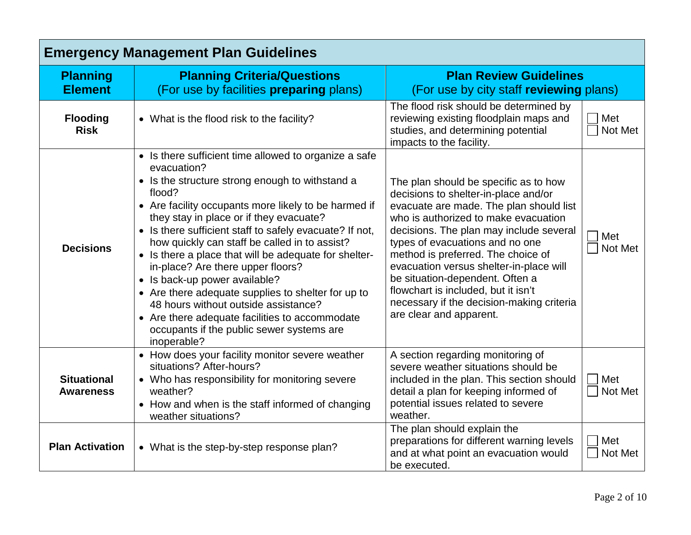| <b>Emergency Management Plan Guidelines</b> |                                                                                                                                                                                                                                                                                                                                                                                                                                                                                                                                                                                                                                                                                             |                                                                                                                                                                                                                                                                                                                                                                                                                                                                                   |                |
|---------------------------------------------|---------------------------------------------------------------------------------------------------------------------------------------------------------------------------------------------------------------------------------------------------------------------------------------------------------------------------------------------------------------------------------------------------------------------------------------------------------------------------------------------------------------------------------------------------------------------------------------------------------------------------------------------------------------------------------------------|-----------------------------------------------------------------------------------------------------------------------------------------------------------------------------------------------------------------------------------------------------------------------------------------------------------------------------------------------------------------------------------------------------------------------------------------------------------------------------------|----------------|
| <b>Planning</b><br><b>Element</b>           | <b>Planning Criteria/Questions</b><br>(For use by facilities <b>preparing</b> plans)                                                                                                                                                                                                                                                                                                                                                                                                                                                                                                                                                                                                        | <b>Plan Review Guidelines</b><br>(For use by city staff reviewing plans)                                                                                                                                                                                                                                                                                                                                                                                                          |                |
| <b>Flooding</b><br><b>Risk</b>              | • What is the flood risk to the facility?                                                                                                                                                                                                                                                                                                                                                                                                                                                                                                                                                                                                                                                   | The flood risk should be determined by<br>reviewing existing floodplain maps and<br>studies, and determining potential<br>impacts to the facility.                                                                                                                                                                                                                                                                                                                                | Met<br>Not Met |
| <b>Decisions</b>                            | • Is there sufficient time allowed to organize a safe<br>evacuation?<br>• Is the structure strong enough to withstand a<br>flood?<br>• Are facility occupants more likely to be harmed if<br>they stay in place or if they evacuate?<br>• Is there sufficient staff to safely evacuate? If not,<br>how quickly can staff be called in to assist?<br>• Is there a place that will be adequate for shelter-<br>in-place? Are there upper floors?<br>• Is back-up power available?<br>• Are there adequate supplies to shelter for up to<br>48 hours without outside assistance?<br>• Are there adequate facilities to accommodate<br>occupants if the public sewer systems are<br>inoperable? | The plan should be specific as to how<br>decisions to shelter-in-place and/or<br>evacuate are made. The plan should list<br>who is authorized to make evacuation<br>decisions. The plan may include several<br>types of evacuations and no one<br>method is preferred. The choice of<br>evacuation versus shelter-in-place will<br>be situation-dependent. Often a<br>flowchart is included, but it isn't<br>necessary if the decision-making criteria<br>are clear and apparent. | Met<br>Not Met |
| <b>Situational</b><br><b>Awareness</b>      | • How does your facility monitor severe weather<br>situations? After-hours?<br>• Who has responsibility for monitoring severe<br>weather?<br>• How and when is the staff informed of changing<br>weather situations?                                                                                                                                                                                                                                                                                                                                                                                                                                                                        | A section regarding monitoring of<br>severe weather situations should be<br>included in the plan. This section should<br>detail a plan for keeping informed of<br>potential issues related to severe<br>weather.                                                                                                                                                                                                                                                                  | Met<br>Not Met |
| <b>Plan Activation</b>                      | • What is the step-by-step response plan?                                                                                                                                                                                                                                                                                                                                                                                                                                                                                                                                                                                                                                                   | The plan should explain the<br>preparations for different warning levels<br>and at what point an evacuation would<br>be executed.                                                                                                                                                                                                                                                                                                                                                 | Met<br>Not Met |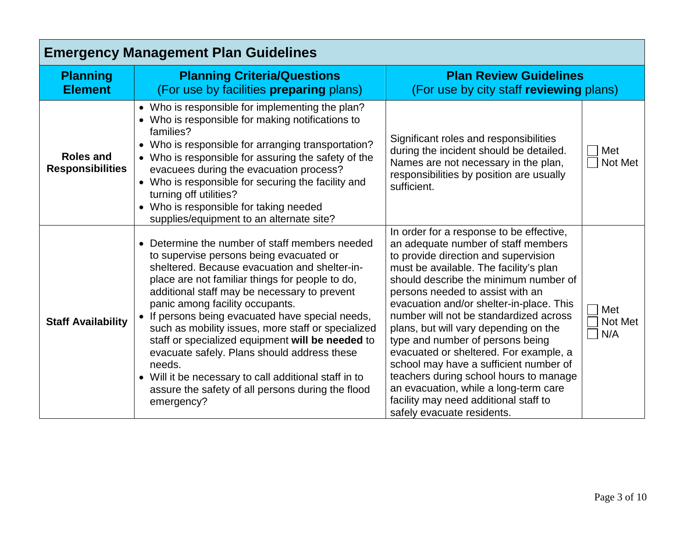| <b>Emergency Management Plan Guidelines</b> |                                                                                                                                                                                                                                                                                                                                                                                                                                                                                                                                                                                                                                 |                                                                                                                                                                                                                                                                                                                                                                                                                                                                                                                                                                                                                                                                 |                       |  |
|---------------------------------------------|---------------------------------------------------------------------------------------------------------------------------------------------------------------------------------------------------------------------------------------------------------------------------------------------------------------------------------------------------------------------------------------------------------------------------------------------------------------------------------------------------------------------------------------------------------------------------------------------------------------------------------|-----------------------------------------------------------------------------------------------------------------------------------------------------------------------------------------------------------------------------------------------------------------------------------------------------------------------------------------------------------------------------------------------------------------------------------------------------------------------------------------------------------------------------------------------------------------------------------------------------------------------------------------------------------------|-----------------------|--|
| <b>Planning</b><br><b>Element</b>           | <b>Planning Criteria/Questions</b><br>(For use by facilities <b>preparing</b> plans)                                                                                                                                                                                                                                                                                                                                                                                                                                                                                                                                            | <b>Plan Review Guidelines</b><br>(For use by city staff reviewing plans)                                                                                                                                                                                                                                                                                                                                                                                                                                                                                                                                                                                        |                       |  |
| <b>Roles and</b><br><b>Responsibilities</b> | • Who is responsible for implementing the plan?<br>• Who is responsible for making notifications to<br>families?<br>• Who is responsible for arranging transportation?<br>• Who is responsible for assuring the safety of the<br>evacuees during the evacuation process?<br>• Who is responsible for securing the facility and<br>turning off utilities?<br>Who is responsible for taking needed<br>supplies/equipment to an alternate site?                                                                                                                                                                                    | Significant roles and responsibilities<br>during the incident should be detailed.<br>Names are not necessary in the plan,<br>responsibilities by position are usually<br>sufficient.                                                                                                                                                                                                                                                                                                                                                                                                                                                                            | Met<br>Not Met        |  |
| <b>Staff Availability</b>                   | Determine the number of staff members needed<br>to supervise persons being evacuated or<br>sheltered. Because evacuation and shelter-in-<br>place are not familiar things for people to do,<br>additional staff may be necessary to prevent<br>panic among facility occupants.<br>If persons being evacuated have special needs,<br>such as mobility issues, more staff or specialized<br>staff or specialized equipment will be needed to<br>evacuate safely. Plans should address these<br>needs.<br>• Will it be necessary to call additional staff in to<br>assure the safety of all persons during the flood<br>emergency? | In order for a response to be effective,<br>an adequate number of staff members<br>to provide direction and supervision<br>must be available. The facility's plan<br>should describe the minimum number of<br>persons needed to assist with an<br>evacuation and/or shelter-in-place. This<br>number will not be standardized across<br>plans, but will vary depending on the<br>type and number of persons being<br>evacuated or sheltered. For example, a<br>school may have a sufficient number of<br>teachers during school hours to manage<br>an evacuation, while a long-term care<br>facility may need additional staff to<br>safely evacuate residents. | Met<br>Not Met<br>N/A |  |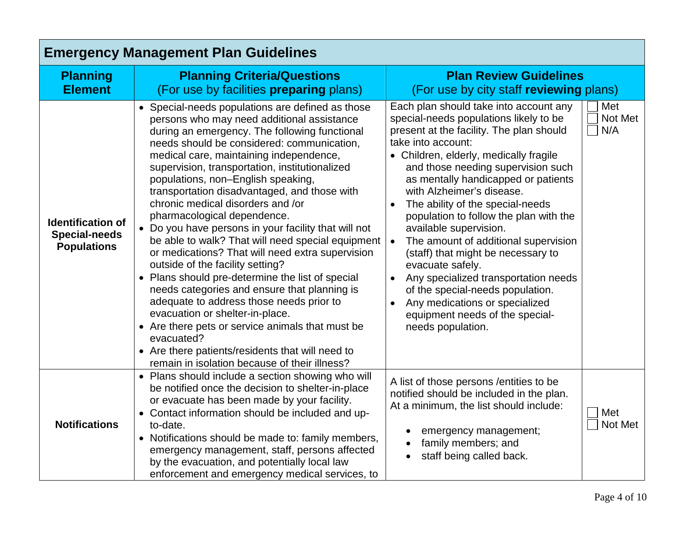| <b>Emergency Management Plan Guidelines</b>                            |                                                                                                                                                                                                                                                                                                                                                                                                                                                                                                                                                                                                                                                                                                                                                                                                                                                                                                                                                                                                                     |                                                                                                                                                                                                                                                                                                                                                                                                                                                                                                                                                                                                                                                                                                     |                       |  |
|------------------------------------------------------------------------|---------------------------------------------------------------------------------------------------------------------------------------------------------------------------------------------------------------------------------------------------------------------------------------------------------------------------------------------------------------------------------------------------------------------------------------------------------------------------------------------------------------------------------------------------------------------------------------------------------------------------------------------------------------------------------------------------------------------------------------------------------------------------------------------------------------------------------------------------------------------------------------------------------------------------------------------------------------------------------------------------------------------|-----------------------------------------------------------------------------------------------------------------------------------------------------------------------------------------------------------------------------------------------------------------------------------------------------------------------------------------------------------------------------------------------------------------------------------------------------------------------------------------------------------------------------------------------------------------------------------------------------------------------------------------------------------------------------------------------------|-----------------------|--|
| <b>Planning</b><br><b>Element</b>                                      | <b>Planning Criteria/Questions</b><br>(For use by facilities <b>preparing</b> plans)                                                                                                                                                                                                                                                                                                                                                                                                                                                                                                                                                                                                                                                                                                                                                                                                                                                                                                                                | <b>Plan Review Guidelines</b><br>(For use by city staff reviewing plans)                                                                                                                                                                                                                                                                                                                                                                                                                                                                                                                                                                                                                            |                       |  |
| <b>Identification of</b><br><b>Special-needs</b><br><b>Populations</b> | • Special-needs populations are defined as those<br>persons who may need additional assistance<br>during an emergency. The following functional<br>needs should be considered: communication,<br>medical care, maintaining independence,<br>supervision, transportation, institutionalized<br>populations, non-English speaking,<br>transportation disadvantaged, and those with<br>chronic medical disorders and /or<br>pharmacological dependence.<br>• Do you have persons in your facility that will not<br>be able to walk? That will need special equipment<br>or medications? That will need extra supervision<br>outside of the facility setting?<br>• Plans should pre-determine the list of special<br>needs categories and ensure that planning is<br>adequate to address those needs prior to<br>evacuation or shelter-in-place.<br>• Are there pets or service animals that must be<br>evacuated?<br>• Are there patients/residents that will need to<br>remain in isolation because of their illness? | Each plan should take into account any<br>special-needs populations likely to be<br>present at the facility. The plan should<br>take into account:<br>• Children, elderly, medically fragile<br>and those needing supervision such<br>as mentally handicapped or patients<br>with Alzheimer's disease.<br>The ability of the special-needs<br>population to follow the plan with the<br>available supervision.<br>The amount of additional supervision<br>(staff) that might be necessary to<br>evacuate safely.<br>Any specialized transportation needs<br>$\bullet$<br>of the special-needs population.<br>Any medications or specialized<br>equipment needs of the special-<br>needs population. | Met<br>Not Met<br>N/A |  |
| <b>Notifications</b>                                                   | • Plans should include a section showing who will<br>be notified once the decision to shelter-in-place<br>or evacuate has been made by your facility.<br>• Contact information should be included and up-<br>to-date.<br>• Notifications should be made to: family members,<br>emergency management, staff, persons affected<br>by the evacuation, and potentially local law<br>enforcement and emergency medical services, to                                                                                                                                                                                                                                                                                                                                                                                                                                                                                                                                                                                      | A list of those persons / entities to be<br>notified should be included in the plan.<br>At a minimum, the list should include:<br>emergency management;<br>family members; and<br>staff being called back.                                                                                                                                                                                                                                                                                                                                                                                                                                                                                          | Met<br>Not Met        |  |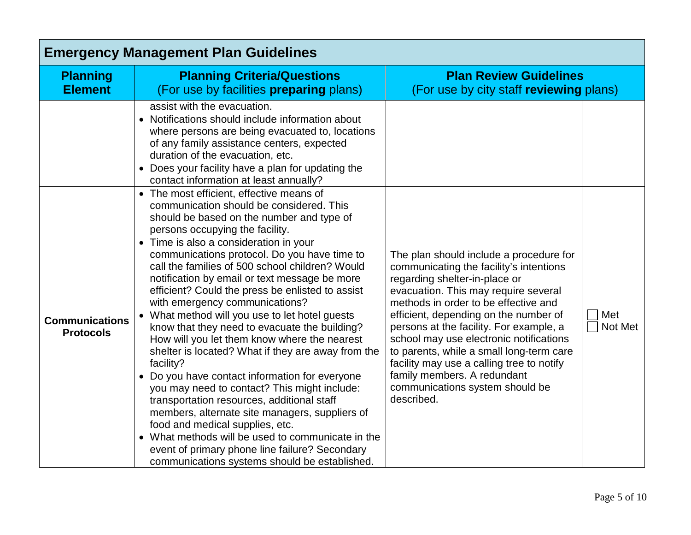| <b>Emergency Management Plan Guidelines</b> |                                                                                                                                                                                                                                                                                                                                                                                                                                                                                                                                                                                                                                                                                                                                                                                                                                                                                                                                                                                                                                          |                                                                                                                                                                                                                                                                                                                                                                                                                                                                                                             |                |  |
|---------------------------------------------|------------------------------------------------------------------------------------------------------------------------------------------------------------------------------------------------------------------------------------------------------------------------------------------------------------------------------------------------------------------------------------------------------------------------------------------------------------------------------------------------------------------------------------------------------------------------------------------------------------------------------------------------------------------------------------------------------------------------------------------------------------------------------------------------------------------------------------------------------------------------------------------------------------------------------------------------------------------------------------------------------------------------------------------|-------------------------------------------------------------------------------------------------------------------------------------------------------------------------------------------------------------------------------------------------------------------------------------------------------------------------------------------------------------------------------------------------------------------------------------------------------------------------------------------------------------|----------------|--|
| <b>Planning</b><br><b>Element</b>           | <b>Planning Criteria/Questions</b><br>(For use by facilities preparing plans)                                                                                                                                                                                                                                                                                                                                                                                                                                                                                                                                                                                                                                                                                                                                                                                                                                                                                                                                                            | <b>Plan Review Guidelines</b><br>(For use by city staff reviewing plans)                                                                                                                                                                                                                                                                                                                                                                                                                                    |                |  |
|                                             | assist with the evacuation.<br>• Notifications should include information about<br>where persons are being evacuated to, locations<br>of any family assistance centers, expected<br>duration of the evacuation, etc.<br>Does your facility have a plan for updating the<br>contact information at least annually?<br>• The most efficient, effective means of                                                                                                                                                                                                                                                                                                                                                                                                                                                                                                                                                                                                                                                                            |                                                                                                                                                                                                                                                                                                                                                                                                                                                                                                             |                |  |
| <b>Communications</b><br><b>Protocols</b>   | communication should be considered. This<br>should be based on the number and type of<br>persons occupying the facility.<br>Time is also a consideration in your<br>$\bullet$<br>communications protocol. Do you have time to<br>call the families of 500 school children? Would<br>notification by email or text message be more<br>efficient? Could the press be enlisted to assist<br>with emergency communications?<br>• What method will you use to let hotel guests<br>know that they need to evacuate the building?<br>How will you let them know where the nearest<br>shelter is located? What if they are away from the<br>facility?<br>• Do you have contact information for everyone<br>you may need to contact? This might include:<br>transportation resources, additional staff<br>members, alternate site managers, suppliers of<br>food and medical supplies, etc.<br>What methods will be used to communicate in the<br>event of primary phone line failure? Secondary<br>communications systems should be established. | The plan should include a procedure for<br>communicating the facility's intentions<br>regarding shelter-in-place or<br>evacuation. This may require several<br>methods in order to be effective and<br>efficient, depending on the number of<br>persons at the facility. For example, a<br>school may use electronic notifications<br>to parents, while a small long-term care<br>facility may use a calling tree to notify<br>family members. A redundant<br>communications system should be<br>described. | Met<br>Not Met |  |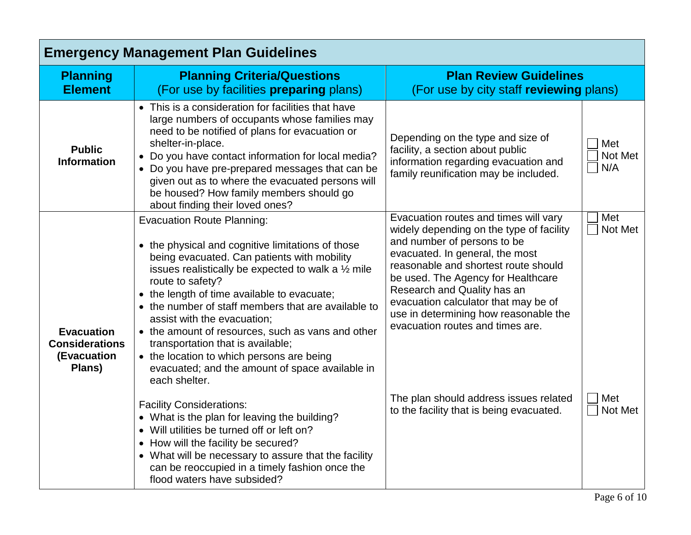| <b>Emergency Management Plan Guidelines</b>                         |                                                                                                                                                                                                                                                                                                                                                                                                                                                                                                                                                                                                                                                                                                             |                                                                                                                                                                                                                                                                                                                                                                                                                                                                             |                                  |  |
|---------------------------------------------------------------------|-------------------------------------------------------------------------------------------------------------------------------------------------------------------------------------------------------------------------------------------------------------------------------------------------------------------------------------------------------------------------------------------------------------------------------------------------------------------------------------------------------------------------------------------------------------------------------------------------------------------------------------------------------------------------------------------------------------|-----------------------------------------------------------------------------------------------------------------------------------------------------------------------------------------------------------------------------------------------------------------------------------------------------------------------------------------------------------------------------------------------------------------------------------------------------------------------------|----------------------------------|--|
| <b>Planning</b><br><b>Element</b>                                   | <b>Planning Criteria/Questions</b><br>(For use by facilities <b>preparing</b> plans)                                                                                                                                                                                                                                                                                                                                                                                                                                                                                                                                                                                                                        | <b>Plan Review Guidelines</b><br>(For use by city staff reviewing plans)                                                                                                                                                                                                                                                                                                                                                                                                    |                                  |  |
| <b>Public</b><br><b>Information</b>                                 | • This is a consideration for facilities that have<br>large numbers of occupants whose families may<br>need to be notified of plans for evacuation or<br>shelter-in-place.<br>• Do you have contact information for local media?<br>• Do you have pre-prepared messages that can be<br>given out as to where the evacuated persons will<br>be housed? How family members should go<br>about finding their loved ones?                                                                                                                                                                                                                                                                                       | Depending on the type and size of<br>facility, a section about public<br>information regarding evacuation and<br>family reunification may be included.                                                                                                                                                                                                                                                                                                                      | Met<br>Not Met<br>N/A            |  |
| <b>Evacuation</b><br><b>Considerations</b><br>(Evacuation<br>Plans) | <b>Evacuation Route Planning:</b><br>• the physical and cognitive limitations of those<br>being evacuated. Can patients with mobility<br>issues realistically be expected to walk a $\frac{1}{2}$ mile<br>route to safety?<br>• the length of time available to evacuate;<br>• the number of staff members that are available to<br>assist with the evacuation;<br>• the amount of resources, such as vans and other<br>transportation that is available;<br>• the location to which persons are being<br>evacuated; and the amount of space available in<br>each shelter.<br><b>Facility Considerations:</b><br>• What is the plan for leaving the building?<br>• Will utilities be turned off or left on? | Evacuation routes and times will vary<br>widely depending on the type of facility<br>and number of persons to be<br>evacuated. In general, the most<br>reasonable and shortest route should<br>be used. The Agency for Healthcare<br>Research and Quality has an<br>evacuation calculator that may be of<br>use in determining how reasonable the<br>evacuation routes and times are.<br>The plan should address issues related<br>to the facility that is being evacuated. | Met<br>Not Met<br>Met<br>Not Met |  |
|                                                                     | • How will the facility be secured?<br>• What will be necessary to assure that the facility<br>can be reoccupied in a timely fashion once the<br>flood waters have subsided?                                                                                                                                                                                                                                                                                                                                                                                                                                                                                                                                |                                                                                                                                                                                                                                                                                                                                                                                                                                                                             |                                  |  |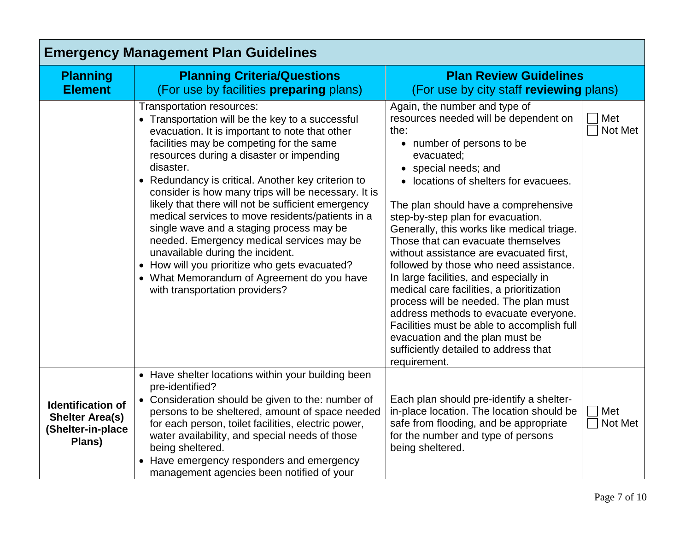| <b>Emergency Management Plan Guidelines</b>                                       |                                                                                                                                                                                                                                                                                                                                                                                                                                                                                                                                                                                                                                                                                                                           |                                                                                                                                                                                                                                                                                                                                                                                                                                                                                                                                                                                                                                                                                                                                                                     |                |  |
|-----------------------------------------------------------------------------------|---------------------------------------------------------------------------------------------------------------------------------------------------------------------------------------------------------------------------------------------------------------------------------------------------------------------------------------------------------------------------------------------------------------------------------------------------------------------------------------------------------------------------------------------------------------------------------------------------------------------------------------------------------------------------------------------------------------------------|---------------------------------------------------------------------------------------------------------------------------------------------------------------------------------------------------------------------------------------------------------------------------------------------------------------------------------------------------------------------------------------------------------------------------------------------------------------------------------------------------------------------------------------------------------------------------------------------------------------------------------------------------------------------------------------------------------------------------------------------------------------------|----------------|--|
| <b>Planning</b><br><b>Element</b>                                                 | <b>Planning Criteria/Questions</b><br>(For use by facilities <b>preparing</b> plans)                                                                                                                                                                                                                                                                                                                                                                                                                                                                                                                                                                                                                                      | <b>Plan Review Guidelines</b><br>(For use by city staff reviewing plans)                                                                                                                                                                                                                                                                                                                                                                                                                                                                                                                                                                                                                                                                                            |                |  |
|                                                                                   | Transportation resources:<br>• Transportation will be the key to a successful<br>evacuation. It is important to note that other<br>facilities may be competing for the same<br>resources during a disaster or impending<br>disaster.<br>• Redundancy is critical. Another key criterion to<br>consider is how many trips will be necessary. It is<br>likely that there will not be sufficient emergency<br>medical services to move residents/patients in a<br>single wave and a staging process may be<br>needed. Emergency medical services may be<br>unavailable during the incident.<br>• How will you prioritize who gets evacuated?<br>• What Memorandum of Agreement do you have<br>with transportation providers? | Again, the number and type of<br>resources needed will be dependent on<br>the:<br>• number of persons to be<br>evacuated;<br>• special needs; and<br>• locations of shelters for evacuees.<br>The plan should have a comprehensive<br>step-by-step plan for evacuation.<br>Generally, this works like medical triage.<br>Those that can evacuate themselves<br>without assistance are evacuated first,<br>followed by those who need assistance.<br>In large facilities, and especially in<br>medical care facilities, a prioritization<br>process will be needed. The plan must<br>address methods to evacuate everyone.<br>Facilities must be able to accomplish full<br>evacuation and the plan must be<br>sufficiently detailed to address that<br>requirement. | Met<br>Not Met |  |
| <b>Identification of</b><br><b>Shelter Area(s)</b><br>(Shelter-in-place<br>Plans) | • Have shelter locations within your building been<br>pre-identified?<br>Consideration should be given to the: number of<br>persons to be sheltered, amount of space needed<br>for each person, toilet facilities, electric power,<br>water availability, and special needs of those<br>being sheltered.<br>• Have emergency responders and emergency<br>management agencies been notified of your                                                                                                                                                                                                                                                                                                                        | Each plan should pre-identify a shelter-<br>in-place location. The location should be<br>safe from flooding, and be appropriate<br>for the number and type of persons<br>being sheltered.                                                                                                                                                                                                                                                                                                                                                                                                                                                                                                                                                                           | Met<br>Not Met |  |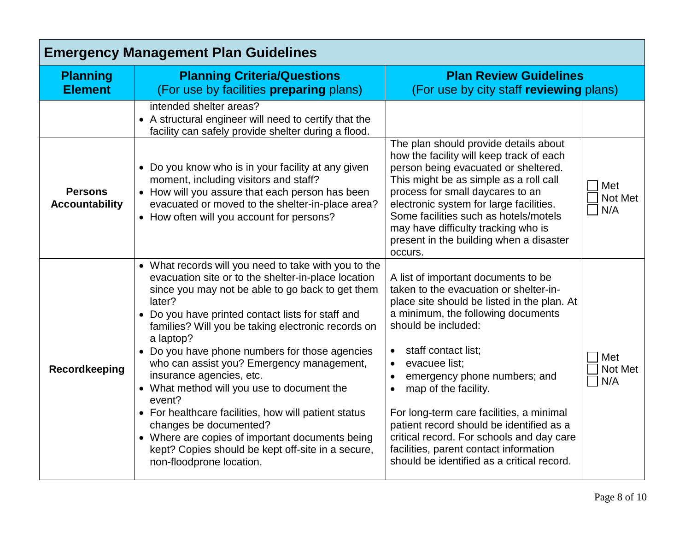| <b>Emergency Management Plan Guidelines</b> |                                                                                                                                                                                                                                                                                                                                                                                                                                                                                                                                                                                                                                                                                                            |                                                                                                                                                                                                                                                                                                                                                                                                                                                                                                                                     |                       |  |
|---------------------------------------------|------------------------------------------------------------------------------------------------------------------------------------------------------------------------------------------------------------------------------------------------------------------------------------------------------------------------------------------------------------------------------------------------------------------------------------------------------------------------------------------------------------------------------------------------------------------------------------------------------------------------------------------------------------------------------------------------------------|-------------------------------------------------------------------------------------------------------------------------------------------------------------------------------------------------------------------------------------------------------------------------------------------------------------------------------------------------------------------------------------------------------------------------------------------------------------------------------------------------------------------------------------|-----------------------|--|
| <b>Planning</b><br><b>Element</b>           | <b>Planning Criteria/Questions</b><br>(For use by facilities <b>preparing</b> plans)                                                                                                                                                                                                                                                                                                                                                                                                                                                                                                                                                                                                                       | <b>Plan Review Guidelines</b><br>(For use by city staff reviewing plans)                                                                                                                                                                                                                                                                                                                                                                                                                                                            |                       |  |
|                                             | intended shelter areas?<br>• A structural engineer will need to certify that the<br>facility can safely provide shelter during a flood.                                                                                                                                                                                                                                                                                                                                                                                                                                                                                                                                                                    |                                                                                                                                                                                                                                                                                                                                                                                                                                                                                                                                     |                       |  |
| <b>Persons</b><br><b>Accountability</b>     | • Do you know who is in your facility at any given<br>moment, including visitors and staff?<br>• How will you assure that each person has been<br>evacuated or moved to the shelter-in-place area?<br>• How often will you account for persons?                                                                                                                                                                                                                                                                                                                                                                                                                                                            | The plan should provide details about<br>how the facility will keep track of each<br>person being evacuated or sheltered.<br>This might be as simple as a roll call<br>process for small daycares to an<br>electronic system for large facilities.<br>Some facilities such as hotels/motels<br>may have difficulty tracking who is<br>present in the building when a disaster<br>occurs.                                                                                                                                            | Met<br>Not Met<br>N/A |  |
| <b>Recordkeeping</b>                        | • What records will you need to take with you to the<br>evacuation site or to the shelter-in-place location<br>since you may not be able to go back to get them<br>later?<br>• Do you have printed contact lists for staff and<br>families? Will you be taking electronic records on<br>a laptop?<br>• Do you have phone numbers for those agencies<br>who can assist you? Emergency management,<br>insurance agencies, etc.<br>• What method will you use to document the<br>event?<br>• For healthcare facilities, how will patient status<br>changes be documented?<br>• Where are copies of important documents being<br>kept? Copies should be kept off-site in a secure,<br>non-floodprone location. | A list of important documents to be<br>taken to the evacuation or shelter-in-<br>place site should be listed in the plan. At<br>a minimum, the following documents<br>should be included:<br>staff contact list;<br>evacuee list;<br>emergency phone numbers; and<br>map of the facility.<br>$\bullet$<br>For long-term care facilities, a minimal<br>patient record should be identified as a<br>critical record. For schools and day care<br>facilities, parent contact information<br>should be identified as a critical record. | Met<br>Not Met<br>N/A |  |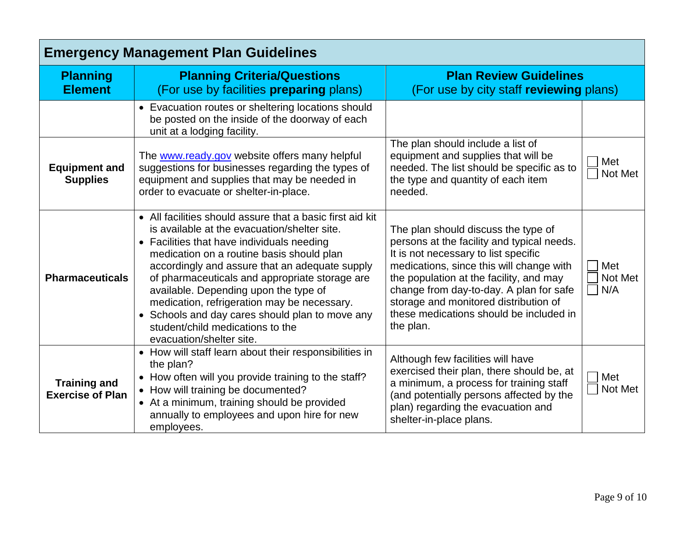| <b>Emergency Management Plan Guidelines</b>    |                                                                                                                                                                                                                                                                                                                                                                                                                                                                                                                     |                                                                                                                                                                                                                                                                                                                                                              |                       |  |
|------------------------------------------------|---------------------------------------------------------------------------------------------------------------------------------------------------------------------------------------------------------------------------------------------------------------------------------------------------------------------------------------------------------------------------------------------------------------------------------------------------------------------------------------------------------------------|--------------------------------------------------------------------------------------------------------------------------------------------------------------------------------------------------------------------------------------------------------------------------------------------------------------------------------------------------------------|-----------------------|--|
| <b>Planning</b><br><b>Element</b>              | <b>Planning Criteria/Questions</b><br>(For use by facilities <b>preparing</b> plans)                                                                                                                                                                                                                                                                                                                                                                                                                                | <b>Plan Review Guidelines</b><br>(For use by city staff reviewing plans)                                                                                                                                                                                                                                                                                     |                       |  |
|                                                | • Evacuation routes or sheltering locations should<br>be posted on the inside of the doorway of each<br>unit at a lodging facility.                                                                                                                                                                                                                                                                                                                                                                                 |                                                                                                                                                                                                                                                                                                                                                              |                       |  |
| <b>Equipment and</b><br><b>Supplies</b>        | The www.ready.gov website offers many helpful<br>suggestions for businesses regarding the types of<br>equipment and supplies that may be needed in<br>order to evacuate or shelter-in-place.                                                                                                                                                                                                                                                                                                                        | The plan should include a list of<br>equipment and supplies that will be<br>needed. The list should be specific as to<br>the type and quantity of each item<br>needed.                                                                                                                                                                                       | Met<br>Not Met        |  |
| <b>Pharmaceuticals</b>                         | • All facilities should assure that a basic first aid kit<br>is available at the evacuation/shelter site.<br>• Facilities that have individuals needing<br>medication on a routine basis should plan<br>accordingly and assure that an adequate supply<br>of pharmaceuticals and appropriate storage are<br>available. Depending upon the type of<br>medication, refrigeration may be necessary.<br>• Schools and day cares should plan to move any<br>student/child medications to the<br>evacuation/shelter site. | The plan should discuss the type of<br>persons at the facility and typical needs.<br>It is not necessary to list specific<br>medications, since this will change with<br>the population at the facility, and may<br>change from day-to-day. A plan for safe<br>storage and monitored distribution of<br>these medications should be included in<br>the plan. | Met<br>Not Met<br>N/A |  |
| <b>Training and</b><br><b>Exercise of Plan</b> | How will staff learn about their responsibilities in<br>the plan?<br>• How often will you provide training to the staff?<br>• How will training be documented?<br>• At a minimum, training should be provided<br>annually to employees and upon hire for new<br>employees.                                                                                                                                                                                                                                          | Although few facilities will have<br>exercised their plan, there should be, at<br>a minimum, a process for training staff<br>(and potentially persons affected by the<br>plan) regarding the evacuation and<br>shelter-in-place plans.                                                                                                                       | Met<br>Not Met        |  |